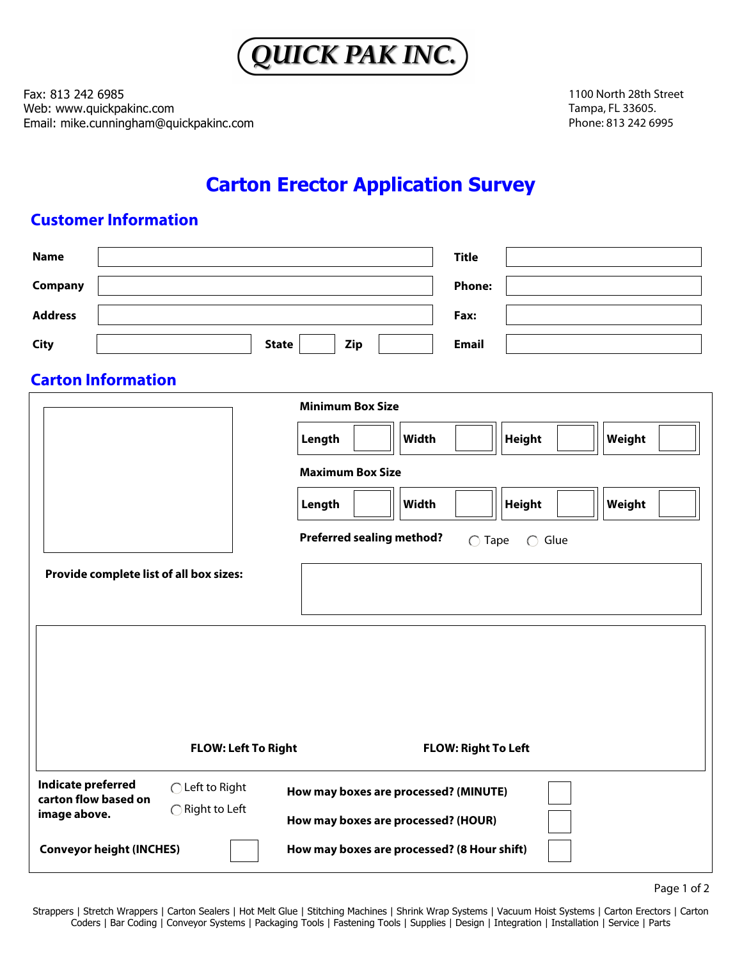

Fax: 813 242 6985 Web: www.quickpakinc.com Email: mike.cunningham@quickpakinc.com 1100 North 28th Street Tampa, FL 33605. Phone: 813 242 6995

# **Carton Erector Application Survey**

## **Customer Information**

| <b>Name</b>                                                            |                                                                                                                    |                                             | <b>Title</b>  |        |
|------------------------------------------------------------------------|--------------------------------------------------------------------------------------------------------------------|---------------------------------------------|---------------|--------|
| Company                                                                |                                                                                                                    |                                             | <b>Phone:</b> |        |
| <b>Address</b>                                                         |                                                                                                                    |                                             | Fax:          |        |
| <b>City</b>                                                            | <b>State</b>                                                                                                       | Zip                                         | <b>Email</b>  |        |
| <b>Carton Information</b>                                              |                                                                                                                    |                                             |               |        |
|                                                                        |                                                                                                                    | <b>Minimum Box Size</b>                     |               |        |
|                                                                        |                                                                                                                    | <b>Width</b><br>Length                      | <b>Height</b> | Weight |
|                                                                        |                                                                                                                    | <b>Maximum Box Size</b>                     |               |        |
|                                                                        |                                                                                                                    | Length<br>Width                             | <b>Height</b> | Weight |
| <b>Preferred sealing method?</b><br>$\bigcirc$ Tape<br>$\bigcirc$ Glue |                                                                                                                    |                                             |               |        |
| Provide complete list of all box sizes:                                |                                                                                                                    |                                             |               |        |
|                                                                        |                                                                                                                    |                                             |               |        |
|                                                                        |                                                                                                                    |                                             |               |        |
| <b>FLOW: Left To Right</b><br><b>FLOW: Right To Left</b>               |                                                                                                                    |                                             |               |        |
| <b>Indicate preferred</b><br>carton flow based on<br>image above.      | ◯ Left to Right<br>How may boxes are processed? (MINUTE)<br>◯ Right to Left<br>How may boxes are processed? (HOUR) |                                             |               |        |
| <b>Conveyor height (INCHES)</b>                                        |                                                                                                                    | How may boxes are processed? (8 Hour shift) |               |        |